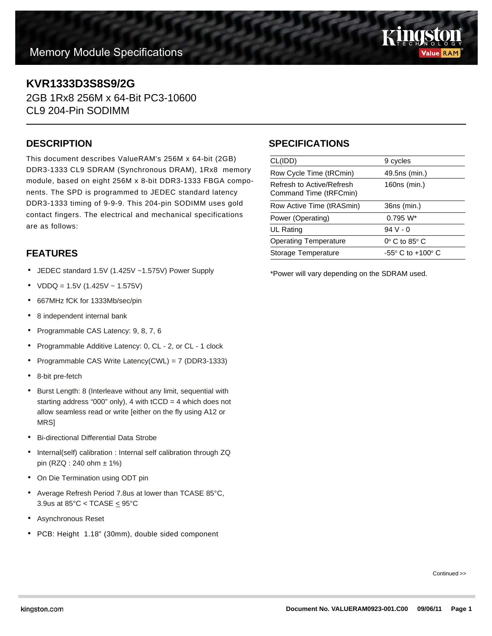

# **KVR1333D3S8S9/2G**

2GB 1Rx8 256M x 64-Bit PC3-10600 CL9 204-Pin SODIMM

#### **DESCRIPTION**

This document describes ValueRAM's 256M x 64-bit (2GB) DDR3-1333 CL9 SDRAM (Synchronous DRAM), 1Rx8 memory module, based on eight 256M x 8-bit DDR3-1333 FBGA components. The SPD is programmed to JEDEC standard latency DDR3-1333 timing of 9-9-9. This 204-pin SODIMM uses gold contact fingers. The electrical and mechanical specifications are as follows:

## **FEATURES**

- JEDEC standard 1.5V (1.425V ~1.575V) Power Supply
- $VDDQ = 1.5V (1.425V 1.575V)$
- 667MHz fCK for 1333Mb/sec/pin
- 8 independent internal bank
- Programmable CAS Latency: 9, 8, 7, 6
- Programmable Additive Latency: 0, CL 2, or CL 1 clock
- Programmable CAS Write Latency(CWL) = 7 (DDR3-1333)
- 8-bit pre-fetch
- Burst Length: 8 (Interleave without any limit, sequential with starting address "000" only), 4 with  $tCCD = 4$  which does not allow seamless read or write [either on the fly using A12 or MRS]
- Bi-directional Differential Data Strobe
- Internal(self) calibration : Internal self calibration through ZQ pin (RZQ : 240 ohm ± 1%)
- On Die Termination using ODT pin
- Average Refresh Period 7.8us at lower than TCASE 85°C, 3.9us at  $85^{\circ}$ C < TCASE  $\leq 95^{\circ}$ C
- Asynchronous Reset
- PCB: Height 1.18" (30mm), double sided component

### **SPECIFICATIONS**

| CL(IDD)                                             | 9 cycles                            |
|-----------------------------------------------------|-------------------------------------|
| Row Cycle Time (tRCmin)                             | 49.5ns (min.)                       |
| Refresh to Active/Refresh<br>Command Time (tRFCmin) | 160ns (min.)                        |
| Row Active Time (tRASmin)                           | 36ns (min.)                         |
| Power (Operating)                                   | $0.795 W^*$                         |
| UL Rating                                           | $94V - 0$                           |
| <b>Operating Temperature</b>                        | $0^\circ$ C to 85 $^\circ$ C        |
| Storage Temperature                                 | $-55^{\circ}$ C to $+100^{\circ}$ C |
|                                                     |                                     |

\*Power will vary depending on the SDRAM used.

Continued >>